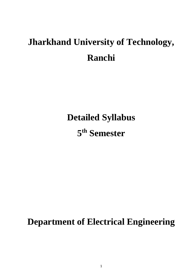## **Jharkhand University of Technology, Ranchi**

**Detailed Syllabus**

**5 th Semester**

**Department of Electrical Engineering**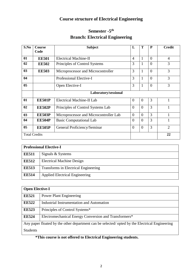### **Course structure of Electrical Engineering**

### **Semester -5 th Branch: Electrical Engineering**

| S.No           | Course<br>Code                                                            | <b>Subject</b>                         | L              | Т        | P        | <b>Credit</b>  |  |  |  |  |
|----------------|---------------------------------------------------------------------------|----------------------------------------|----------------|----------|----------|----------------|--|--|--|--|
|                |                                                                           |                                        |                |          |          |                |  |  |  |  |
| 01             | <b>EE501</b>                                                              | Electrical Machine-II                  | $\overline{4}$ | 1        | $\theta$ | $\overline{4}$ |  |  |  |  |
| 02             | <b>EE502</b>                                                              | Principles of Control Systems          | 3              | 1        | $\theta$ | 3              |  |  |  |  |
| 03             | <b>EE503</b>                                                              | Microprocessor and Microcontroller     | 3              | 1        | $\theta$ | 3              |  |  |  |  |
| 04             |                                                                           | Professional Elective-I                | 3              | 1        | $\theta$ | 3              |  |  |  |  |
| 0 <sub>5</sub> |                                                                           | 3<br>Open Elective-I<br>1              |                |          |          |                |  |  |  |  |
|                |                                                                           | Laboratory/sessional                   |                |          |          |                |  |  |  |  |
| 01             | <b>EE501P</b>                                                             | <b>Electrical Machine-II Lab</b>       | $\theta$       | $\Omega$ | 3        | 1              |  |  |  |  |
| 02             | <b>EE502P</b>                                                             | Principles of Control Systems Lab      | $\theta$       | $\Omega$ | 3        | 1              |  |  |  |  |
| 03             | <b>EE503P</b>                                                             | Microprocessor and Microcontroller Lab | $\theta$       | $\Omega$ | 3        | 1              |  |  |  |  |
| 04             | <b>EE504P</b>                                                             | <b>Basic Computational Lab</b>         | $\theta$       | $\theta$ | 3        |                |  |  |  |  |
| 05             | 3<br><b>EE505P</b><br>$\theta$<br>$\theta$<br>General Proficiency/Seminar |                                        |                |          |          |                |  |  |  |  |
|                | <b>Total Credits</b>                                                      |                                        |                |          |          | 22             |  |  |  |  |

| <b>Professional Elective-I</b> |                                       |  |  |  |  |
|--------------------------------|---------------------------------------|--|--|--|--|
| <b>EE511</b>                   | Signals & Systems                     |  |  |  |  |
| <b>EE512</b>                   | <b>Electrical Machine Design</b>      |  |  |  |  |
| <b>EE513</b>                   | Transforms in Electrical Engineering  |  |  |  |  |
| <b>EE514</b>                   | <b>Applied Electrical Engineering</b> |  |  |  |  |

|                 | <b>Open Elective-I</b>                                                                        |  |  |  |  |  |
|-----------------|-----------------------------------------------------------------------------------------------|--|--|--|--|--|
| <b>EE521</b>    | <b>Power Plant Engineering</b>                                                                |  |  |  |  |  |
| <b>EE522</b>    | <b>Industrial Instrumentation and Automation</b>                                              |  |  |  |  |  |
| <b>EE523</b>    | Principles of Control Systems*                                                                |  |  |  |  |  |
| <b>EE524</b>    | Electromechanical Energy Conversion and Transformers*                                         |  |  |  |  |  |
|                 | Any paper floated by the other department can be selected/opted by the Electrical Engineering |  |  |  |  |  |
| <b>Students</b> |                                                                                               |  |  |  |  |  |

### **\*This course is not offered to Electrical Engineering students.**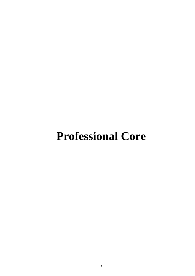# **Professional Core**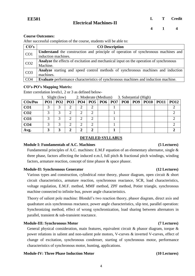After successful completion of the course, students will be able to:

| CO's            | <b>CO</b> Description                                                                         |
|-----------------|-----------------------------------------------------------------------------------------------|
| CO <sub>1</sub> | Understand the construction and principle of operation of synchronous machines and            |
|                 | induction machines.                                                                           |
| CO <sub>2</sub> | <b>Analyze</b> the effects of excitation and mechanical input on the operation of synchronous |
|                 | Machine.                                                                                      |
| CO <sub>3</sub> | <b>Analyze</b> starting and speed control methods of synchronous machines and induction       |
|                 | machines.                                                                                     |
| CO <sub>4</sub> | <b>Evaluate</b> performance characteristics of synchronous machines and induction machine.    |

#### **CO's-PO's Mapping Matrix:**

Enter correlation levels1, 2 or 3 as defined below-

|                 | $\frac{1}{2}$ . $\frac{1}{2}$ $\frac{1}{2}$ $\frac{1}{2}$ $\frac{1}{2}$ $\frac{1}{2}$<br>$\mathcal{L}$ . Moderate (McGrafit)<br>$\sigma$ . Dubstantiai (111511) |  |  |  |  |  |  |  |  |                                                                          |  |
|-----------------|-----------------------------------------------------------------------------------------------------------------------------------------------------------------|--|--|--|--|--|--|--|--|--------------------------------------------------------------------------|--|
| $\cos/Pos$      |                                                                                                                                                                 |  |  |  |  |  |  |  |  | PO1   PO2   PO3   PO4   PO5   PO6   PO7   PO8   PO9   PO10   PO11   PO12 |  |
| CO <sub>1</sub> |                                                                                                                                                                 |  |  |  |  |  |  |  |  |                                                                          |  |
| CO <sub>2</sub> |                                                                                                                                                                 |  |  |  |  |  |  |  |  |                                                                          |  |
| CO <sub>3</sub> |                                                                                                                                                                 |  |  |  |  |  |  |  |  |                                                                          |  |
| CO <sub>4</sub> |                                                                                                                                                                 |  |  |  |  |  |  |  |  |                                                                          |  |
| Avg.            |                                                                                                                                                                 |  |  |  |  |  |  |  |  |                                                                          |  |

### 1. Slight (low) 2. Moderate (Medium) 3. Substantial (High)

### **DETAILED SYLLABUS**

#### **Module I: Fundamentals of A.C. Machines (5 Lectures)**

Fundamental principles of A.C. machines: E.M.F equation of an elementary alternator, single & three phase, factors affecting the induced e.m.f, full pitch & fractional pitch windings, winding factors, armature reaction, concept of time phasor & space phasor.

### **Module-II: Synchronous Generator (12 Lectures)**

Various types and construction, cylindrical rotor theory, phasor diagram, open circuit & short circuit characteristics, armature reaction, synchronous reactance, SCR, load characteristics, voltage regulation, E.M.F. method, MMF method, ZPF method, Potier triangle, synchronous machine connected to infinite bus, power angle characteristics.

Theory of salient pole machine: Blondel's two reaction theory, phasor diagram, direct axis and quadrature axis synchronous reactance, power angle characteristics, slip test, parallel operation: Synchronizing method, effect of wrong synchronization, load sharing between alternators in parallel, transient & sub-transient reactance.

### **Module-III: Synchronous Motor (7 Lectures)**

General physical consideration, main features, equivalent circuit & phasor diagram, torque & power relations in salient and non-salient pole motors, V-curves & inverted V-curves, effect of change of excitation, synchronous condenser, starting of synchronous motor, performance characteristics of synchronous motor, hunting, applications.

#### **Module-IV: Three Phase Induction Motor (10 Lectures)**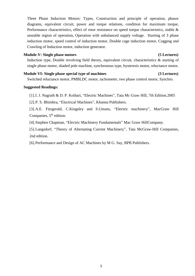Three Phase Induction Motors: Types, Construction and principle of operation, phasor diagrams, equivalent circuit, power and torque relations, condition for maximum torque, Performance characteristics, effect of rotor resistance on speed torque characteristics, stable & unstable region of operation, Operation with unbalanced supply voltage. Starting of 3 phase induction motor, speed control of induction motor, Double cage induction motor, Cogging and Crawling of Induction motor, induction generator.

#### **Module-V: Single phase motors (5 Lectures)**

Induction type, Double revolving field theory, equivalent circuit, characteristics & starting of single phase motor, shaded pole machine, synchronous type, hysteresis motor, reluctance motor.

### **Module VI: Single phase special type of machines (3 Lectures)**

Switched reluctance motor, PMBLDC motor, tachometer, two phase control motor, Synchro.

### **Suggested Readings:**

[1].I. J. Nagrath & D. P. Kothari, "Electric Machines", Tata Mc Graw Hill, 7th Edition.2005

[2].P. S. Bhimbra, "Electrical Machines", Khanna Publishers.

[3].A.E. Fitzgerald, C.Kingsley and S.Umans, "Electric machinery", MacGraw Hill Companies,  $5<sup>th</sup>$  edition.

[4].Stephen Chapman, "Electric Machinery Fundamentals" Mac Graw HillCompany.

[5].Langsdorf, "Theory of Alternating Current Machinery", Tata McGraw-Hill Companies, 2nd edition.

[6].Performance and Design of AC Machines by M G. Say, BPB Publishers.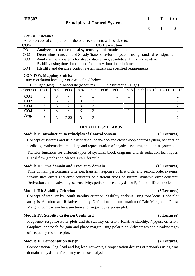After successful completion of the course, students will be able to:

| CO's            | <b>CO</b> Description                                                                        |
|-----------------|----------------------------------------------------------------------------------------------|
| CO <sub>1</sub> | <b>Analyze</b> electromechanical systems by mathematical modeling.                           |
| CO <sub>2</sub> | <b>Determine</b> Transient and Steady State behavior of systems using standard test signals. |
| CO <sub>3</sub> | Analyze linear systems for steady state errors, absolute stability and relative              |
|                 | Stability using time domain and frequency domain techniques.                                 |
| CO <sub>4</sub> | <b>Identify</b> and <b>design</b> a control system satisfying specified requirements.        |

#### **CO's-PO's Mapping Matrix:**

Enter correlation levels1, 2 or 3 as defined below-

|                   |  |      | 1. Slight (low) 2. Moderate (Medium)    |  | 3. Substantial (High) |  |  |                         |             |
|-------------------|--|------|-----------------------------------------|--|-----------------------|--|--|-------------------------|-------------|
| $\cos$ <i>POs</i> |  |      | PO1   PO2   PO3   PO4   PO5   PO6   PO7 |  |                       |  |  | PO8   PO9   PO10   PO11 | <b>PO12</b> |
| CO <sub>1</sub>   |  |      |                                         |  |                       |  |  |                         |             |
| CO <sub>2</sub>   |  |      |                                         |  |                       |  |  |                         |             |
| CO <sub>3</sub>   |  |      |                                         |  |                       |  |  |                         |             |
| CO <sub>4</sub>   |  |      |                                         |  |                       |  |  |                         |             |
| Avg.              |  | 2.33 |                                         |  |                       |  |  |                         |             |

### **DETAILED SYLLABUS**

#### **Module I: Introduction to Principles of Control System (8 Lectures)**

Concept of systems and its classification; open-loop and closed-loop control system, benefits of feedback, mathematical modeling and representation of physical systems, analogous systems.

Transfer functions for different types of systems, block diagrams and its reduction techniques, Signal flow graphs and Mason's gain formula.

#### **Module II: Time domain and Frequency domain (10 Lectures)**

Time domain performance criterion, transient response of first order and second order systems; Steady state errors and error constants of different types of system; dynamic error constant: Derivation and its advantages; sensitivity; performance analysis for P, PI and PID controllers.

#### **Module III: Stability Criterion (8 Lectures)**

Concept of stability by Routh stability criterion. Stability analysis using root locus. Bode plot analysis. Absolute and Relative stability. Definition and computation of Gain Margin and Phase Margin. Comparison between time and frequency response plot.

#### **Module IV: Stability Criterion Continued (6 Lectures)**

Frequency response Polar plots and its stability criterion. Relative stability, Nyquist criterion; Graphical approach for gain and phase margin using polar plot; Advantages and disadvantages of frequency response plot.

#### **Module V: Compensation design (4 Lectures)**

Compensation - lag, lead and lag-lead networks, Compensation designs of networks using time domain analysis and frequency response analysis.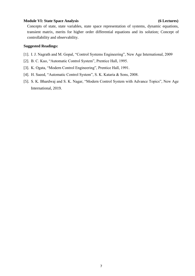#### **Module VI: State Space Analysis (6 Lectures)**

Concepts of state, state variables, state space representation of systems, dynamic equations, transient matrix, merits for higher order differential equations and its solution; Concept of controllability and observability.

- [1]. I. J. Nagrath and M. Gopal, "Control Systems Engineering", New Age International, 2009
- [2]. B. C. Kuo, "Automatic Control System", Prentice Hall, 1995.
- [3]. K. Ogata, "Modern Control Engineering", Prentice Hall, 1991.
- [4]. H. Saeed, "Automatic Control System", S. K. Kataria & Sons, 2008.
- [5]. S. K. Bhardwaj and S. K. Nagar, "Modern Control System with Advance Topics", New Age International, 2019.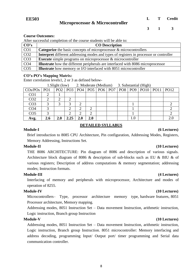**3 1 3**

#### **Course Outcomes:**

After successful completion of the course students will be able to:

| CO's             | <b>CO</b> Description                                                                         |
|------------------|-----------------------------------------------------------------------------------------------|
| CO <sub>1</sub>  | <b>Categorize</b> the basic concepts of microprocessor & microcontrollers                     |
| CO <sub>2</sub>  | <b>Interpret</b> different addressing modes and types of registers in processor or controller |
| CO <sub>3</sub>  | <b>Execute</b> simple programs on microprocessor $\&$ microcontroller                         |
| CO <sub>4</sub>  | <b>Illustrate</b> how the different peripherals are interfaced with 8086 microprocessor       |
| $\overline{CO5}$ | <b>Illustrate</b> how memory or I/O interfaced with 8051 microcontroller                      |

#### **CO's-PO's Mapping Matrix:**

Enter correlation levels1, 2 or 3 as defined below-

|                 |                 | 1. Slight (low) |      |     |     |  |         | 2. Moderate (Medium) 3. Substantial (High)                         |  |
|-----------------|-----------------|-----------------|------|-----|-----|--|---------|--------------------------------------------------------------------|--|
| $\cos$ /POs     | PO <sub>1</sub> |                 |      |     |     |  |         | PO2   PO3   PO4   PO5   PO6   PO7   PO8   PO9   PO10   PO11   PO12 |  |
| CO <sub>1</sub> |                 |                 |      |     |     |  |         |                                                                    |  |
| CO <sub>2</sub> |                 |                 |      |     |     |  |         |                                                                    |  |
| CO <sub>3</sub> |                 |                 | 3    | ⌒   |     |  |         |                                                                    |  |
| CO <sub>4</sub> |                 |                 | ◠    | ⌒   | ⌒   |  |         |                                                                    |  |
| CO <sub>5</sub> |                 |                 | ◠    |     | ာ   |  |         |                                                                    |  |
| Avg.            | 2.6             | 2.0             | 2.25 | 2.0 | 2.0 |  | $1.0\,$ |                                                                    |  |

### **DETAILED SYLLABUS**

#### **Module-I (6 Lectures)**

Brief introduction to 8085 CPU Architecture, Pin configuration, Addressing Modes, Registers, Memory Addressing, Instructions Set.

#### **Module-II (10 Lectures)**

THE 8086 ARCHITECTURE: Pin diagram of 8086 and description of various signals. Architecture block diagram of 8086 & description of sub-blocks such as EU & BIU & of various registers; Description of address computations & memory segmentation; addressing modes; Instruction formats.

#### **Module-III (4 Lectures)**

Interfacing of memory and peripherals with microprocessor, Architecture and modes of operation of 8255.

#### **Module-IV (10 Lectures)**

Microcontrollers– Type, processor architecture memory type, hardware features, 8051 Processor architecture, Memory mapping.

Addressing modes, 8051 Instruction Set – Data movement Instruction, arithmetic instruction, Logic instruction, Branch group Instruction

#### **Module-V (10 Lectures)**

Addressing modes, 8051 Instruction Set – Data movement Instruction, arithmetic instruction, Logic instruction, Branch group Instruction. 8051 microcontroller: Memory interfacing and address decoding, programming Input/ Output port/ timer programming and Serial data communication controller.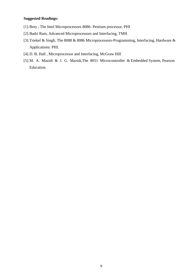- [1].Brey , The Intel Microprocessors 8086- Pentium processor, PHI
- [2].Badri Ram, Advanced Microprocessors and Interfacing, TMH
- [3].Triekel & Singh, The 8088 & 8086 Microprocessors-Programming, Interfacing, Hardware & Applications: PHI.
- [4].D. B. Hall , Microprocessor and Interfacing, McGraw Hill
- [5].M. A. Mazidi & J. G. Mazidi,The 8051 Microcontroller & Embedded System, Pearson Education.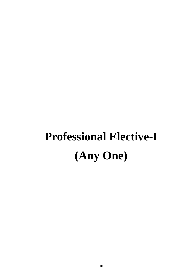# **Professional Elective-I (Any One)**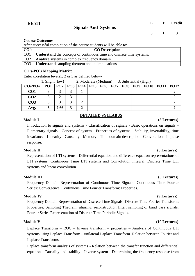After successful completion of the course students will be able to:

| $\overline{CO's}$ | <b>CO</b> Description                                                       |
|-------------------|-----------------------------------------------------------------------------|
|                   | CO1   Understand the concepts of continuous time and discrete time systems. |
|                   | CO2   <b>Analyze</b> systems in complex frequency domain.                   |
|                   | CO3   <b>Understand</b> sampling theorem and its implications               |

### **CO's-PO's Mapping Matrix:**

Enter correlation levels1, 2 or 3 as defined below-

|                   | 1. Slight (low) |      | 2. Moderate (Medium) 3. Substantial (High) |  |  |  |  |  |  |                                                   |  |
|-------------------|-----------------|------|--------------------------------------------|--|--|--|--|--|--|---------------------------------------------------|--|
| $\cos$ <i>POs</i> | PO <sub>1</sub> |      |                                            |  |  |  |  |  |  | $ PQ2 PQ3 PQ4 PO5 PO6 PO7 PO8 PO9 PO10 PO11 PO12$ |  |
| CO <sub>1</sub>   |                 |      |                                            |  |  |  |  |  |  |                                                   |  |
| CO <sub>2</sub>   |                 |      |                                            |  |  |  |  |  |  |                                                   |  |
| CO <sub>3</sub>   |                 |      |                                            |  |  |  |  |  |  |                                                   |  |
| Avg.              |                 | 2.66 |                                            |  |  |  |  |  |  |                                                   |  |

### **DETAILED SYLLABUS**

#### **Module I (5 Lectures)**

Introduction to signals and systems - Classification of signals - Basic operations on signals – Elementary signals - Concept of system - Properties of systems - Stability, invertability, time invariance - Linearity - Causality - Memory - Time domain description - Convolution - Impulse response.

#### **Module II (5 Lectures)**

Representation of LTI systems - Differential equation and difference equation representations of LTI systems, Continuous Time LTI systems and Convolution Integral, Discrete Time LTI systems and linear convolution.

### **Module III (5 Lectures)**

Frequency Domain Representation of Continuous Time Signals- Continuous Time Fourier Series: Convergence. Continuous Time Fourier Transform: Properties.

#### **Module IV (9 Lectures)**

Frequency Domain Representation of Discrete Time Signals- Discrete Time Fourier Transform: Properties, Sampling Theorem, aliasing, reconstruction filter, sampling of band pass signals. Fourier Series Representation of Discrete Time Periodic Signals.

Laplace Transform – ROC – Inverse transform – properties – Analysis of Continuous LTI systems using Laplace Transform – unilateral Laplace Transform. Relation between Fourier and Laplace Transforms.

Laplace transform analysis of systems - Relation between the transfer function and differential equation - Causality and stability - Inverse system - Determining the frequency response from

### **Module V** (10 Lectures)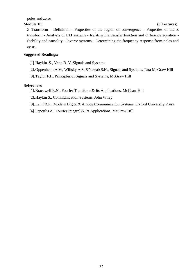poles and zeros.

### **Module VI (8 Lectures)**

Z Transform - Definition - Properties of the region of convergence - Properties of the Z transform - Analysis of LTI systems - Relating the transfer function and difference equation - Stability and causality - Inverse systems - Determining the frequency response from poles and zeros.

### **Suggested Readings:**

- [1].Haykin. S., Venn B. V. Signals and Systems
- [2].Oppenheim A.V., Willsky A.S. &Nawab S.H., Signals and Systems, Tata McGraw Hill
- [3].Taylor F.H, Principles of Signals and Systems, McGraw Hill

### R**eferences**

- [1].Bracewell R.N., Fourier Transform & Its Applications, McGraw Hill
- [2].Haykin S., Communication Systems, John Wiley
- [3].Lathi B.P., Modern Digital& Analog Communication Systems, Oxford University Press
- [4].Papoulis A., Fourier Integral & Its Applications, McGraw Hill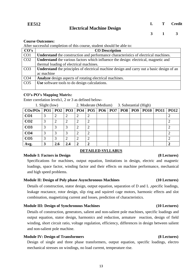After successful completion of this course, student should be able to:

| CO's            | <b>CO</b> Description                                                                            |
|-----------------|--------------------------------------------------------------------------------------------------|
| CO <sub>1</sub> | <b>Understand</b> the construction and performance characteristics of electrical machines.       |
| CO <sub>2</sub> | <b>Understand</b> the various factors which influence the design: electrical, magnetic and       |
|                 | thermal loading of electrical machines.                                                          |
| CO <sub>3</sub> | <b>Understand</b> the principles of electrical machine design and carry out a basic design of an |
|                 | ac machine                                                                                       |
| CO <sub>4</sub> | Analyze design aspects of rotating electrical machines.                                          |
| CO <sub>5</sub> | Use software tools to do design calculations.                                                    |
|                 |                                                                                                  |

### **CO's-PO's Mapping Matrix:**

Enter correlation levels1, 2 or 3 as defined below-

| 1. Slight (low)                                            |               |     |     |                             | 2. Moderate (Medium) 3. Substantial (High) |  |  |  |     |  |                           |  |  |
|------------------------------------------------------------|---------------|-----|-----|-----------------------------|--------------------------------------------|--|--|--|-----|--|---------------------------|--|--|
| $\cos$ POs   PO1   PO2   PO3   PO4   PO5   PO6   PO7   PO8 |               |     |     |                             |                                            |  |  |  | PO9 |  | <b>PO10   PO11   PO12</b> |  |  |
| CO <sub>1</sub>                                            | 3             | റ   |     | ∍                           | 2                                          |  |  |  |     |  |                           |  |  |
| CO <sub>2</sub>                                            | 3             |     |     |                             |                                            |  |  |  |     |  |                           |  |  |
| CO <sub>3</sub>                                            | 3             | 3   |     |                             |                                            |  |  |  |     |  |                           |  |  |
| CO <sub>4</sub>                                            | 3             |     |     | 2                           | 2                                          |  |  |  |     |  |                           |  |  |
| CO <sub>5</sub>                                            | $\mathcal{R}$ | 3   | ി   | $\overline{2}$              | 2                                          |  |  |  |     |  |                           |  |  |
| Avg.                                                       | 3             | 2.6 | 2.4 | $\mathcal{D}_{\mathcal{L}}$ |                                            |  |  |  |     |  |                           |  |  |

### **Module I: Factors in Design (8 Lectures)**

### **DETAILED SYLLABUS**

Specifications for machines, output equation, limitations in design, electric and magnetic loadings, space factor, winding factor and their effects on machine performance, mechanical and high speed problems.

### **Module II: Design of Poly phase Asynchronous Machines (10 Lectures)**

Details of construction, stator design, output equation, separation of D and L, specific loadings, leakage reactance, rotor design, slip ring and squirrel cage motors, harmonic effects and slot combination, magnetizing current and losses, prediction of characteristics.

### **Module III: Design of Synchronous Machines (10 Lectures)**

Details of construction, generators, salient and non-salient pole machines, specific loadings and output equation, stator design, harmonics and reduction, armature reaction, design of field winding, short circuit ratio, voltage regulation, efficiency, differences in design between salient and non-salient pole machine.

### **Module IV: Design of Transformers (8 Lectures)**

Design of single and three phase transformers, output equation, specific loadings, electro mechanical stresses on windings, no load current, temperature rise.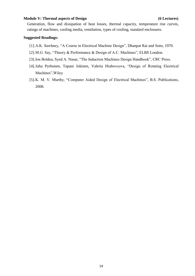#### **Module V: Thermal aspects of Design (6 Lectures)**

Generation, flow and dissipation of heat losses, thermal capacity, temperature rise curves, ratings of machines, cooling media, ventilation, types of cooling, standard enclosures.

- [1].A.K. Sawhney, "A Course in Electrical Machine Design", Dhanpat Rai and Sons, 1970.
- [2].M.G. Say, "Theory & Performance & Design of A.C. Machines", ELBS London.
- [3].Ion Boldea, Syed A. Nasar, "The Induction Machines Design Handbook", CRC Press.
- [4].Juha Pyrhonen, Tapani Jokinen, Valeria Hrabovcova, "Design of Rotating Electrical Machines",Wiley
- [5].K. M. V. Murthy, "Computer Aided Design of Electrical Machines", B.S. Publications, 2008.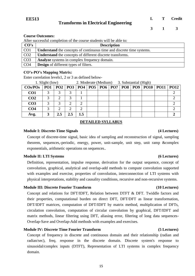**3 1 3**

#### **Course Outcomes:**

After successful completion of the course students will be able to:

| CO's             | <b>Description</b>                                                           |
|------------------|------------------------------------------------------------------------------|
| CO <sub>1</sub>  | <b>Understand</b> the concepts of continuous time and discrete time systems. |
| CO <sub>2</sub>  | <b>Understand</b> the concepts of different discrete transforms.             |
| $\overline{CO3}$ | <b>Analyze</b> systems in complex frequency domain.                          |
| CO <sub>4</sub>  | <b>Design</b> of different types of filters.                                 |

#### **CO's-PO's Mapping Matrix:**

Enter correlation levels1, 2 or 3 as defined below-

| 1. Slight (low)   |                 | 2. Moderate (Medium) 3. Substantial (High) |     |         |  |  |  |                                                             |             |
|-------------------|-----------------|--------------------------------------------|-----|---------|--|--|--|-------------------------------------------------------------|-------------|
| $\cos$ <i>POs</i> | PO <sub>1</sub> |                                            |     |         |  |  |  | PO2   PO3   PO4   PO5   PO6   PO7   PO8   PO9   PO10   PO11 | <b>PO12</b> |
| CO <sub>1</sub>   | 3               | 3                                          |     |         |  |  |  |                                                             |             |
| CO <sub>2</sub>   | 3               | ◠                                          | っ   |         |  |  |  |                                                             |             |
| CO <sub>3</sub>   | 3               | 3                                          | ◠   |         |  |  |  |                                                             |             |
| CO <sub>4</sub>   | 3               | ◠                                          | ി   | ി       |  |  |  |                                                             |             |
| Avg.              |                 | 2.5                                        | 2.5 | $1.5\,$ |  |  |  |                                                             |             |

#### **DETAILED SYLLABUS**

#### **Module I: Discrete-Time Signals (4 Lectures)**

Concept of discrete-time signal, basic idea of sampling and reconstruction of signal, sampling theorem, sequences,-periodic, energy, power, unit-sample, unit step, unit ramp &complex exponentials, arithmetic operations on sequences..

#### **Module II: LTI Systems (6 Lectures)**

Definition, representation, impulse response, derivation for the output sequence, concept of convolution, graphical, analytical and overlap-add methods to compute convolution supported with examples and exercise, properties of convolution, interconnection of LTI systems with physical interpretations, stability and causality conditions, recursive and non-recursive systems.

#### **Module III: Discrete Fourier Transform (10 Lectures)**

Concept and relations for DFT/IDFT, Relation between DTFT & DFT. Twiddle factors and their properties, computational burden on direct DFT, DFT/DFT as linear transformation, DFT/IDFT matrices, computation of DFT/IDFT by matrix method, multiplication of DFTs, circulation convolution, computation of circular convolution by graphical, DFT/IDFT and matrix methods, linear filtering using DFT, aliasing error, filtering of long data sequences-Overlap-Save and Overlap-Add methods with examples and exercises.

#### **Module IV: Discrete Time Fourier Transform (5 Lectures)**

Concept of frequency in discrete and continuous domain and their relationship (radian and radian/sec), freq. response in the discrete domain. Discrete system's response to sinusoidal/complex inputs (DTFT), Representation of LTI systems in complex frequency domain.

#### 15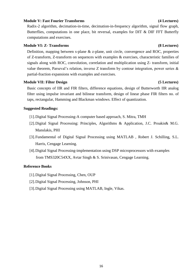#### **Module V: Fast Fourier Transforms (4 Lectures)**

Radix-2 algorithm, decimation-in-time, decimation-in-frequency algorithm, signal flow graph, Butterflies, computations in one place, bit reversal, examples for DIT & DIF FFT Butterfly computations and exercises.

### **Module VI: Z- Transforms (8 Lectures)**

Definition, mapping between s-plane & z-plane, unit circle, convergence and ROC, properties of Z-transform, Z-transform on sequences with examples & exercises, characteristic families of signals along with ROC, convolution, correlation and multiplication using Z- transform, initial value theorem, Parseval's relation, inverse Z transform by contour integration, power series  $\&$ partial-fraction expansions with examples and exercises.

#### **Module VII: Filter Design (5 Lectures)**

Basic concepts of IIR and FIR filters, difference equations, design of Butterworth IIR analog filter using impulse invariant and bilinear transform, design of linear phase FIR filters no. of taps, rectangular, Hamming and Blackman windows. Effect of quantization.

#### **Suggested Readings:**

- [1].Digital Signal Processing-A computer based approach, S. Mitra, TMH
- [2].Digital Signal Processing: Principles, Algorithms & Application, J.C. Proakis& M.G. Manslakis, PHI
- [3].Fundamental of Digital Signal Processing using MATLAB , Robert J. Schilling, S.L. Harris, Cengage Learning.
- [4].Digital Signal Processing-implementation using DSP microprocessors with examples from TMS320C54XX, Avtar Singh & S. Srinivasan, Cengage Learning.

#### **Reference Books**

- [1].Digital Signal Processing, Chen, OUP
- [2].Digital Signal Processing, Johnson, PHI
- [3].Digital Signal Processing using MATLAB, Ingle, Vikas.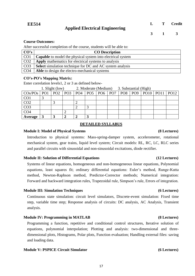After successful completion of the course, students will be able to:

| CO's            | <b>CO</b> Description                                              |
|-----------------|--------------------------------------------------------------------|
| CO <sub>1</sub> | <b>Capable</b> to model the physical system into electrical system |
| CO <sub>2</sub> | Apply mathematics for electrical systems to analysis               |
| CO <sub>3</sub> | <b>Select</b> simulation technique for DC and AC system analysis   |
| CO <sub>4</sub> | Able to design the electro-mechanical systems                      |

#### **CO's-PO's Mapping Matrix:**

Enter correlation levels1, 2 or 3 as defined below-

|                                           | 1. Slight (low) |                   |   | 2. Moderate (Medium) 3. Substantial (High) |                   |  |  |     |  |                          |  |  |
|-------------------------------------------|-----------------|-------------------|---|--------------------------------------------|-------------------|--|--|-----|--|--------------------------|--|--|
| $\cos$ /PO <sub>s</sub>   PO <sub>1</sub> |                 | $PO2$   PO3   PO4 |   |                                            | $POS$ $PO6$ $PO7$ |  |  | PO8 |  | PO9   PO10   PO11   PO12 |  |  |
| CO <sub>1</sub>                           |                 |                   |   |                                            |                   |  |  |     |  |                          |  |  |
| CO <sub>2</sub>                           |                 |                   |   |                                            |                   |  |  |     |  |                          |  |  |
| CO <sub>3</sub>                           |                 |                   |   |                                            |                   |  |  |     |  |                          |  |  |
| CO <sub>4</sub>                           |                 |                   |   |                                            |                   |  |  |     |  |                          |  |  |
| Average                                   |                 |                   | ↑ |                                            |                   |  |  |     |  |                          |  |  |

#### **DETAILED SYLLABUS**

#### **Module I: Model of Physical Systems (8 Lectures)**

### Introduction to physical systems: Mass-spring-damper system, accelerometer, rotational mechanical system, gear trains, liquid level system; Circuit models: RL, RC, LC, RLC series and parallel circuits with sinusoidal and non-sinusoidal excitations, diode rectifier.

#### **Module II: Solution of Differential Equations (12 Lectures)**

Systems of linear equations, homogeneous and non-homogeneous linear equations, Polynomial equations, least squares fit; ordinary differential equations: Euler's method, Runge-Kutta method, Newton-Raphson method, Predictor-Corrector methods; Numerical integration: Forward and backward integration rules, Trapezoidal rule, Simpson's rule, Errors of integration.

#### **Module III: Simulation Techniques (6 Lectures)**

Continuous state simulation: circuit level simulators, Discrete-event simulation: Fixed time step, variable time step; Response analysis of circuits: DC analysis, AC Analysis, Transient analysis.

#### **Module IV: Programming in MATLAB (8 Lectures)**

Programming a function, repetitive and conditional control structures, Iterative solution of equations, polynomial interpolation; Plotting and analysis: two-dimensional and threedimensional plots, Histograms, Polar plots, Function evaluation; Handling external files: saving and loading data.

17

#### **Module V: PSPICE Circuit Simulator (6 Lectures)**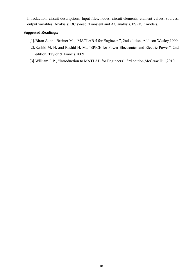Introduction, circuit descriptions, Input files, nodes, circuit elements, element values, sources, output variables; Analysis: DC sweep, Transient and AC analysis. PSPICE models.

- [1].Biran A. and Breiner M., "MATLAB 5 for Engineers", 2nd edition, Addison Wesley,1999
- [2].Rashid M. H. and Rashid H. M., "SPICE for Power Electronics and Electric Power", 2nd edition, Taylor & Francis,2009
- [3].William J. P., "Introduction to MATLAB for Engineers", 3rd edition,McGraw Hill,2010.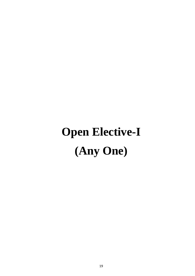# **Open Elective-I (Any One)**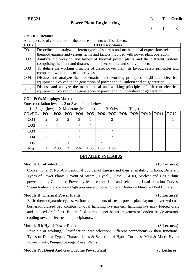After successful completion of the course students will be able to:

| CO's            | <b>CO</b> Descriptions                                                                                |  |  |  |  |  |  |  |  |
|-----------------|-------------------------------------------------------------------------------------------------------|--|--|--|--|--|--|--|--|
| CO <sub>1</sub> | <b>Describe</b> and <b>analyze</b> different types of sources and mathematical expressions related to |  |  |  |  |  |  |  |  |
|                 | thermodynamics and various terms and factors involved with power plant operation.                     |  |  |  |  |  |  |  |  |
| CO <sub>2</sub> | Analyze the working and layout of thermal power plants and the different systems                      |  |  |  |  |  |  |  |  |
|                 | comprising the plant and <b>discuss</b> about its economic and safety impacts                         |  |  |  |  |  |  |  |  |
| CO <sub>3</sub> | To define the working principle of diesel power plant, its layout, safety principles and              |  |  |  |  |  |  |  |  |
|                 | compare it with plants of other types.                                                                |  |  |  |  |  |  |  |  |
| CO <sub>4</sub> | Discuss and analyze the mathematical and working principles of different electrical                   |  |  |  |  |  |  |  |  |
|                 | equipment involved in the generation of power and to <b>understand</b> co-generation.                 |  |  |  |  |  |  |  |  |
| CO <sub>5</sub> | Discuss and analyze the mathematical and working principles of different electrical                   |  |  |  |  |  |  |  |  |
|                 | equipment involved in the generation of power and to understand co-generation.                        |  |  |  |  |  |  |  |  |

#### **CO's-PO's Mappings Matrix:**

Enter correlation levels1, 2 or 3 as defined below-

| 1. Dright (TOW) $\angle$ . MOUCTAIC (MCGIUIII)                          |                |      |              |      |      | 5. Substantial (111g11) |                |  |  |  |          |             |
|-------------------------------------------------------------------------|----------------|------|--------------|------|------|-------------------------|----------------|--|--|--|----------|-------------|
| $\cos$ POs   PO1   PO2   PO3   PO4   PO5   PO6   PO7   PO8   PO9   PO10 |                |      |              |      |      |                         |                |  |  |  | $ $ PO11 | <b>PO12</b> |
| CO <sub>1</sub>                                                         | 2              | 3    | 2            | 3    |      |                         | 2              |  |  |  |          |             |
| CO <sub>2</sub>                                                         | 2              | 2    | 3            |      | 2    |                         |                |  |  |  |          |             |
| CO <sub>3</sub>                                                         | $\overline{2}$ |      |              |      |      |                         | ി              |  |  |  |          |             |
| CO <sub>4</sub>                                                         | $\overline{2}$ |      |              |      |      |                         | $\overline{2}$ |  |  |  |          |             |
| CO <sub>5</sub>                                                         | 2              | 2    |              |      |      | $\overline{2}$          |                |  |  |  |          |             |
| Avg.                                                                    | 2              | 2.33 | $\mathbf{2}$ | 2.67 | 1.33 | 1.33                    | 1.66           |  |  |  |          |             |

### 1. Slight (low) 2. Moderate (Medium) 3. Substantial (High)

### **DETAILED SYLLABUS**

#### **Module I: Introduction (10 Lectures)**

Conventional & Non-Conventional Sources of Energy and their availability in India, Different Types of Power Plants, Layout of Steam , Hydel , Diesel , MHD, Nuclear and Gas turbine power plants, Combined Power cycles – comparison and selection , Load duration Curves, Steam boilers and cycles – High pressure and Super Critical Boilers – Fluidized Bed Boilers.

#### **Module II: Thermal Power Plants** (10 Lectures)

Basic thermodynamic cycles, various components of steam power plant-layout-pulverized coal burners-Fluidized bed combustion-coal handling systems-ash handling systems- Forced draft and induced draft fans- Boilers-feed pumps super heater- regenerator-condenser- de-aerators, cooling towers, electrostatic precipitators.

#### **Module III: Hydel Power Plant (8 Lectures)**

Principle of working, Classification, Site selection; Different components & their functions; Types of Dams; Types, Characteristics & Selection of Hydro-Turbines; Mini & Micro Hydro Power Plants, Pumped Storage Power Plants.

#### **Module IV: Diesel And Gas Turbine Power Plant (8 Lectures)**

#### 20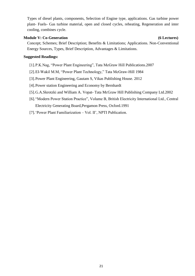Types of diesel plants, components, Selection of Engine type, applications. Gas turbine power plant- Fuels- Gas turbine material, open and closed cycles, reheating, Regeneration and inter cooling, combines cycle.

### **Module V:** Co-Generation (6 Lectures)

Concept; Schemes; Brief Description; Benefits & Limitations; Applications. Non-Conventional Energy Sources, Types, Brief Description, Advantages & Limitations.

- [1].P.K.Nag, "Power Plant Engineering", Tata McGraw Hill Publications.2007
- [2].EI-Wakil M.M, "Power Plant Technology," Tata McGraw-Hill 1984
- [3].Power Plant Engineering, Gautam S, Vikas Publishing House. 2012
- [4].Power station Engineering and Economy by Bernhardt
- [5].G.A.Skrotzki and William A. Vopat- Tata McGraw Hill Publishing Company Ltd.2002
- [6]."Modern Power Station Practice", Volume B, British Electricity International Ltd., Central Electricity Generating Board,Pergamon Press, Oxford.1991
- [7].'Power Plant Familiarization Vol. II', NPTI Publication.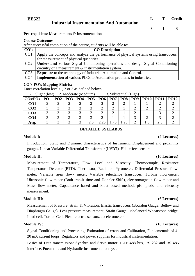**EE522**

**Pre-requisites**: Measurements & Instrumentation

#### **Course Outcomes:**

After successful completion of the course, students will be able to:

| CO's            | <b>CO</b> Description                                                                |
|-----------------|--------------------------------------------------------------------------------------|
| CO <sub>1</sub> | Apply the concepts and analyze the performance of physical systems using transducers |
|                 | for measurement of physical quantities.                                              |
| CO <sub>2</sub> | Understand various Signal Conditioning operations and design Signal Conditioning     |
|                 | circuitry of a measurement $&$ instrumentation system.                               |
| CO <sub>3</sub> | <b>Exposure</b> to the technology of Industrial Automation and Control.              |
| CO <sub>4</sub> | <b>Implementation</b> of various PLCs to Automation problems in industries.          |

**Industrial Instrumentation And Automation**

#### **CO's-PO's Mapping Matrix:**

Enter correlation levels1, 2 or 3 as defined below-

|                   | Slight (low) 2. Moderate (Medium) |   |                                   | 3. Substantial (High) |     |  |   |            |            |  |             |             |
|-------------------|-----------------------------------|---|-----------------------------------|-----------------------|-----|--|---|------------|------------|--|-------------|-------------|
| $\cos$ <i>POs</i> | PO1                               |   | PO2   PO3   PO4   PO5   PO6   PO7 |                       |     |  |   | <b>PO8</b> | <b>PO9</b> |  | PO10   PO11 | <b>PO12</b> |
| CO <sub>1</sub>   |                                   |   |                                   |                       |     |  |   |            |            |  |             |             |
| CO <sub>2</sub>   |                                   |   |                                   | ⌒                     | ⌒   |  | ◠ |            | ◠          |  |             |             |
| CO <sub>3</sub>   |                                   | ⌒ |                                   |                       |     |  |   |            |            |  |             |             |
| CO <sub>4</sub>   |                                   |   |                                   |                       |     |  |   |            |            |  |             |             |
| Avg.              |                                   | ⌒ |                                   | ⌒                     | 2.1 |  |   | 25         | ∍          |  | うち          |             |

### **DETAILED SYLLABUS**

#### **Module I: (4 Lectures)**

Introduction: Static and Dynamic characteristics of Instrument. Displacement and proximity gauges. Linear Variable Differential Transformer (LVDT), Hall-effect sensors.

### **Module II: (10 Lectures)**

Measurement of Temperature, Flow, Level and Viscosity: Thermocouple, Resistance Temperature Detector (RTD), Thermistor, Radiation Pyrometer, Differential Pressure flowmeter, Variable area flow- meter, Variable reluctance transducer, Turbine flow-meter, Ultrasonic flow-meter (Both transit time and Doppler Shift), electromagnetic flow-meter and Mass flow meter, Capacitance based and Float based method, pH -probe and viscosity measurement.

Measurement of Pressure, strain & Vibration: Elastic transducers (Bourdon Gauge, Bellow and Diaphragm Gauge). Low pressure measurement, Strain Gauge, unbalanced Wheatstone bridge, Load cell, Torque Cell, Piezo-eiectric sensors, accelerometers.

Signal Conditioning and Processing: Estimation of errors and Calibration, Fundamentals of 4- 20 mA current loops, Regulators and power supplies for industrial instrumentation.

Basics of Data transmission: Synchro and Servo motor. IEEE-488 bus, RS 232 and RS 485 interface. Pneumatic and Hydraulic Instrumentation system

#### **Module III: (6 Lectures)**

### **Module IV: (10 Lectures)**

**L T Credit**

**3 1 3**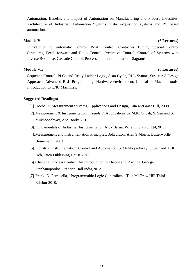Automation: Benefits and Impact of Automation on Manufacturing and Process Industries; Architecture of Industrial Automation Systems. Data Acquisition systems and PC based automation.

### **Module V: (6 Lectures)**

Introduction to Automatic Control: P-I-D Control, Controller Tuning, Special Control Structures, Feed- forward and Ratio Control, Predictive Control, Control of Systems with Inverse Response, Cascade Control. Process and Instrumentation Diagrams.

**Module VI: (6 Lectures)**

Sequence Control: PLCs and Relay Ladder Logic, Scan Cycle, RLL Syntax, Structured Design Approach, Advanced RLL Programming, Hardware environment; Control of Machine tools: Introduction to CNC Machines.

- [1].Doebelin, Measurement Systems, Applications and Design, Tata McGraw Hill, 2008.
- [2].Measurement & Instrumentation : Trends & Applications by M.K. Ghosh, S. Sen and S. Mukhopadhyay, Ane Books,2010
- [3].Fundamentals of Industrial Instrumentation Alok Barua, Wiley India Pvt Ltd,2011
- [4].Measurement and Instrumentation Principles, 3rdEdition, Alan S Morris, Butterworth-Heinemann, 2001
- [5].Industrial Instrumentation, Control and Automation, S. Mukhopadhyay, S. Sen and A. K. Deb, Jaico Publishing House,2013
- [6].Chemical Process Control, An Introduction to Theory and Practice, George Stephanopoulos, Prentice Hall India,2012
- [7].Frank. D, Petruzella, "Programmable Logic Controllers", Tata McGraw Hill Third Edition-2010.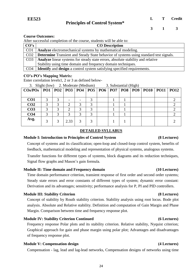After successful completion of the course, students will be able to:

| CO's            | <b>CO</b> Description                                                                        |
|-----------------|----------------------------------------------------------------------------------------------|
| CO <sub>1</sub> | Analyze electromechanical systems by mathematical modeling.                                  |
| CO <sub>2</sub> | <b>Determine</b> Transient and Steady State behavior of systems using standard test signals. |
| CO <sub>3</sub> | Analyze linear systems for steady state errors, absolute stability and relative              |
|                 | Stability using time domain and frequency domain techniques.                                 |
| CO <sub>4</sub> | <b>Identify</b> and <b>design</b> a control system satisfying specified requirements.        |

#### **CO's-PO's Mapping Matrix:**

Enter correlation levels1, 2 or 3 as defined below-

| 3. Slight (low) 2. Moderate (Medium)                                                   |   |      |   |   | 3. Substantial (High) |  |  |  |  |  |
|----------------------------------------------------------------------------------------|---|------|---|---|-----------------------|--|--|--|--|--|
| $\cos$ /POs   PO1   PO2   PO3   PO4   PO5   PO6   PO7   PO8   PO9   PO10   PO11   PO12 |   |      |   |   |                       |  |  |  |  |  |
|                                                                                        |   |      |   |   |                       |  |  |  |  |  |
| CO <sub>1</sub>                                                                        | 3 |      |   |   |                       |  |  |  |  |  |
| CO <sub>2</sub>                                                                        | 3 | 2    |   | 3 |                       |  |  |  |  |  |
| CO <sub>3</sub>                                                                        | 3 | າ    |   | 3 |                       |  |  |  |  |  |
| CO <sub>4</sub>                                                                        | 3 | 3    | 3 | 3 |                       |  |  |  |  |  |
| Avg.                                                                                   |   | 2.33 |   |   |                       |  |  |  |  |  |

#### **DETAILED SYLLABUS**

#### **Module I: Introduction to Principles of Control System (8 Lectures)**

Concept of systems and its classification; open-loop and closed-loop control system, benefits of feedback, mathematical modeling and representation of physical systems, analogous systems.

Transfer functions for different types of systems, block diagrams and its reduction techniques, Signal flow graphs and Mason's gain formula.

#### **Module II: Time domain and Frequency domain (10 Lectures)**

Time domain performance criterion, transient response of first order and second order systems; Steady state errors and error constants of different types of system; dynamic error constant: Derivation and its advantages; sensitivity; performance analysis for P, PI and PID controllers.

#### **Module III: Stability Criterion (8 Lectures)**

Concept of stability by Routh stability criterion. Stability analysis using root locus. Bode plot analysis. Absolute and Relative stability. Definition and computation of Gain Margin and Phase Margin. Comparison between time and frequency response plot.

#### **Module IV: Stability Criterion Continued (6 Lectures)**

Frequency response Polar plots and its stability criterion. Relative stability, Nyquist criterion; Graphical approach for gain and phase margin using polar plot; Advantages and disadvantages of frequency response plot.

#### **Module V: Compensation design (4 Lectures)**

Compensation - lag, lead and lag-lead networks, Compensation designs of networks using time

#### 24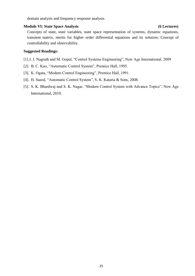domain analysis and frequency response analysis.

#### **Module VI: State Space Analysis (6 Lectures)**

Concepts of state, state variables, state space representation of systems, dynamic equations, transient matrix, merits for higher order differential equations and its solution; Concept of controllability and observability.

### **Suggested Readings:**

[1].I. J. Nagrath and M. Gopal, "Control Systems Engineering", New Age International, 2009

- [2]. B. C. Kuo, "Automatic Control System", Prentice Hall, 1995.
- [3]. K. Ogata, "Modern Control Engineering", Prentice Hall, 1991.
- [4]. H. Saeed, "Automatic Control System", S. K. Kataria & Sons, 2008.
- [5]. S. K. Bhardwaj and S. K. Nagar, "Modern Control System with Advance Topics", New Age International, 2019.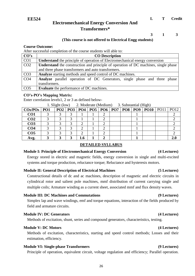### **Electromechanical Energy Conversion And Transformers\***

**L T Credit**

**3 1 3**

#### **(This course is not offered to Electrical Engg students)**

#### **Course Outcome:**

After successful completion of the course students will able to:

| CO's            | <b>CO</b> Description                                                                      |  |  |  |  |  |  |  |  |
|-----------------|--------------------------------------------------------------------------------------------|--|--|--|--|--|--|--|--|
| CO <sub>1</sub> | <b>Understand</b> the principle of operation of Electromechanical energy conversion        |  |  |  |  |  |  |  |  |
| CO <sub>2</sub> | <b>Understand</b> the construction and principle of operation of DC machines, single phase |  |  |  |  |  |  |  |  |
|                 | and three phase transformers and auto transformers.                                        |  |  |  |  |  |  |  |  |
| CO <sub>3</sub> | <b>Analyze</b> starting methods and speed control of DC machines.                          |  |  |  |  |  |  |  |  |
| CO <sub>4</sub> | <b>Analyze</b> parallel operation of DC Generators, single phase and three phase           |  |  |  |  |  |  |  |  |
|                 | transformers.                                                                              |  |  |  |  |  |  |  |  |
| CO <sub>5</sub> | <b>Evaluate</b> the performance of DC machines.                                            |  |  |  |  |  |  |  |  |

#### **CO's-PO's Mapping Matrix:**

Enter correlation levels1, 2 or 3 as defined below-

| 1. Slight (low) | 2. Moderate (Medium) | 3. Substantial (High) |
|-----------------|----------------------|-----------------------|
|-----------------|----------------------|-----------------------|

| $\cos$ /PO <sub>s</sub>   PO <sub>1</sub> |  |     |  |  | PO2   PO3   PO4   PO5   PO6   PO7   PO8   PO9   PO10   PO11   PO12 |  |
|-------------------------------------------|--|-----|--|--|--------------------------------------------------------------------|--|
| CO <sub>1</sub>                           |  |     |  |  |                                                                    |  |
| CO <sub>2</sub>                           |  |     |  |  |                                                                    |  |
| CO <sub>3</sub>                           |  |     |  |  |                                                                    |  |
| CO <sub>4</sub>                           |  |     |  |  |                                                                    |  |
| CO <sub>5</sub>                           |  |     |  |  |                                                                    |  |
| Avg.                                      |  | 1.6 |  |  |                                                                    |  |

#### **DETAILED SYLLABUS**

#### **Module I: Principle of Electromechanical Energy Conversion (4 Lectures)**

Energy stored in electric and magnetic fields, energy conversion in single and multi-excited systems and torque production, reluctance torque; Reluctance and hysteresis motors.

#### **Module II: General Description of Electrical Machines (5 Lectures)**

Constructional details of dc and ac machines, description of magnetic and electric circuits in cylindrical rotor and salient pole machines, mmf distribution of current carrying single and multiple coils; Armature winding as a current sheet, associated mmf and flux density waves.

#### **Module III: DC Machines and Commutations (9 Lectures)**

Simplex lap and wave windings, emf and torque equations, interaction of the fields produced by field and armature circuits.

#### **Module IV: DC Generators (4 Lectures)**

Methods of excitation, shunt, series and compound generators, characteristics, testing.

#### **Module V: DC Motors (4 Lectures)**

Methods of excitation, characteristics, starting and speed control methods; Losses and their estimation, efficiency.

#### **Module VI: Single-phase Transformers (9 Lectures)**

Principle of operation, equivalent circuit, voltage regulation and efficiency; Parallel operation.

#### 26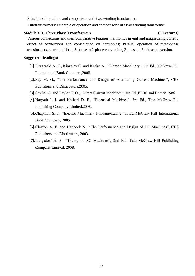Principle of operation and comparison with two winding transformer.

Autotransformers: Principle of operation and comparison with two winding transformer

#### **Module VII: Three Phase Transformers (6 Lectures)**

Various connections and their comparative features, harmonics in emf and magnetizing current, effect of connections and construction on harmonics; Parallel operation of three-phase transformers, sharing of load, 3-phase to 2-phase conversion, 3-phase to 6-phase conversion.

- [1].Fitzgerald A. E., Kingsley C. and Kusko A., "Electric Machinery", 6th Ed., McGraw-Hill International Book Company,2008.
- [2].Say M. G., "The Performance and Design of Alternating Current Machines", CBS Publishers and Distributors,2005.
- [3].Say M. G. and Taylor E. O., "Direct Current Machines", 3rd Ed.,ELBS and Pitman.1986
- [4].Nagrath I. J. and Kothari D. P., "Electrical Machines", 3rd Ed., Tata McGraw-Hill Publishing Company Limited,2008.
- [5].Chapman S. J., "Electric Machinery Fundamentals", 4th Ed.,McGraw-Hill International Book Company, 2005
- [6].Clayton A. E. and Hancock N., "The Performance and Design of DC Machines", CBS Publishers and Distributors, 2003.
- [7].Langsdorf A. S., "Theory of AC Machines", 2nd Ed., Tata McGraw-Hill Publishing Company Limited, 2008.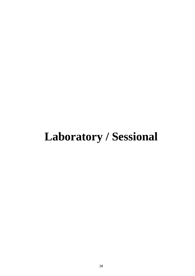## **Laboratory / Sessional**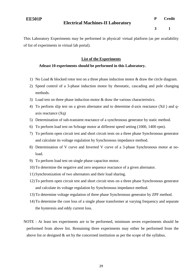### **Electrical Machines-II Laboratory**

**3 1**

This Laboratory Experiments may be performed in physical/ virtual platform (as per availability of list of experiments in virtual lab portal).

#### **List of the Experiments**

### **Atleast 10 experiments should be performed in this Laboratory.**

- 1) No Load & blocked rotor test on a three phase induction motor & draw the circle diagram.
- 2) Speed control of a 3-phase induction motor by rheostatic, cascading and pole changing methods.
- 3) Load test on three phase induction motor & draw the various characteristics.
- 4) To perform slip test on a given alternator and to determine d-axis reactance (Xd ) and qaxis reactance (Xq)
- 5) Determination of sub-transient reactance of a synchronous generator by static method.
- 6) To perform load test on Schrage motor at different speed setting (1000, 1400 rpm).
- 7) To perform open circuit test and short circuit tests on a three phase Synchronous generator and calculate its voltage regulation by Synchronous impedance method.
- 8) Determination of V curve and Inverted V curve of a 3-phase Synchronous motor at noload.
- 9) To perform load test on single phase capacitor motor.
- 10) To determine the negative and zero sequence reactance of a given alternator.
- 11) Synchronization of two alternators and their load sharing.
- 12) To perform open circuit test and short circuit tests on a three phase Synchronous generator and calculate its voltage regulation by Synchronous impedance method.
- 13) To determine voltage regulation of three phase Synchronous generator by ZPF method.
- 14) To determine the core loss of a single phase transformer at varying frequency and separate the hysteresis and eddy current loss.
- NOTE : At least ten experiments are to be performed, minimum seven experiments should be performed from above list. Remaining three experiments may either be performed from the above list or designed & set by the concerned institution as per the scope of the syllabus.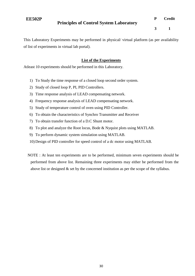### **Principles of Control System Laboratory**

**P Credit**

**3 1**

This Laboratory Experiments may be performed in physical/ virtual platform (as per availability of list of experiments in virtual lab portal).

### **List of the Experiments**

Atleast 10 experiments should be performed in this Laboratory.

- 1) To Study the time response of a closed loop second order system.
- 2) Study of closed loop P, PI, PID Controllers.
- 3) Time response analysis of LEAD compensating network.
- 4) Frequency response analysis of LEAD compensating network.
- 5) Study of temperature control of oven using PID Controller.
- 6) To obtain the characteristics of Synchro Transmitter and Receiver
- 7) To obtain transfer function of a D.C Shunt motor.
- 8) To plot and analyze the Root locus, Bode & Nyquist plots using MATLAB.
- 9) To perform dynamic system simulation using MATLAB.
- 10) Design of PID controller for speed control of a dc motor using MATLAB.
- NOTE : At least ten experiments are to be performed, minimum seven experiments should be performed from above list. Remaining three experiments may either be performed from the above list or designed  $\&$  set by the concerned institution as per the scope of the syllabus.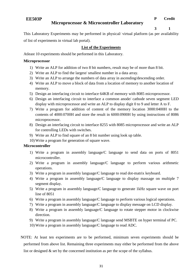### **Microprocessor & Microcontroller Laboratory**

**3 1**

This Laboratory Experiments may be performed in physical/ virtual platform (as per availability of list of experiments in virtual lab portal).

### **List of the Experiments**

Atleast 10 experiments should be performed in this Laboratory.

#### **Microprocessor**

- 1) Write an ALP for addition of two 8 bit numbers, result may be of more than 8 bit.
- 2) Write an ALP to find the largest/ smallest number in a data array.
- 3) Write an ALP to arrange the numbers of data array in ascending/descending order.
- 4) Write an ALP to move a block of data from a location of memory to another location of memory.
- 5) Design an interfacing circuit to interface 64KB of memory with 8085 microprocessor.
- 6) Design an interfacing circuit to interface a common anode/ cathode seven segment LED display with microprocessor and write an ALP to display digit 0 to 9 and letter A to F.
- 7) Write a program for addition of content of the memory location 3000:0400H to the contents of 4000:0700H and store the result in 6000:0900H by using instructions of 8086 microprocessor.
- 8) Design an interfacing circuit to interface 8255 with 8085 microprocessor and write an ALP for controlling LEDs with switches.
- 9) Write an ALP to find square of an 8 bit number using look up table.
- 10) Write a program for generation of square wave.

#### **Microcontroller**

- 1) Write a program in assembly language/C language to send data on ports of 8051 microcontroller.
- 2) Write a program in assembly language/C language to perform various arithmetic operations.
- 3) Write a program in assembly language/C language to read dot-matrix keyboard.
- 4) Write a program in assembly language/C language to display massage on multiple 7 segment display.
- 5) Write a program in assembly language/C language to generate 1kHz square wave on port line of 8051
- 6) Write a program in assembly language/C language to perform various logical operations.
- 7) Write a program in assembly language/C language to display message on LCD display.
- 8) Write a program in assembly language/C language to rotate stepper motor in clockwise direction.
- 9) Write a program in assembly language/C language send MSBTE on hyper terminal of PC.
- 10) Write a program in assembly language/C language to read ADC.
- NOTE: At least ten experiments are to be performed, minimum seven experiments should be performed from above list. Remaining three experiments may either be performed from the above list or designed  $\&$  set by the concerned institution as per the scope of the syllabus.